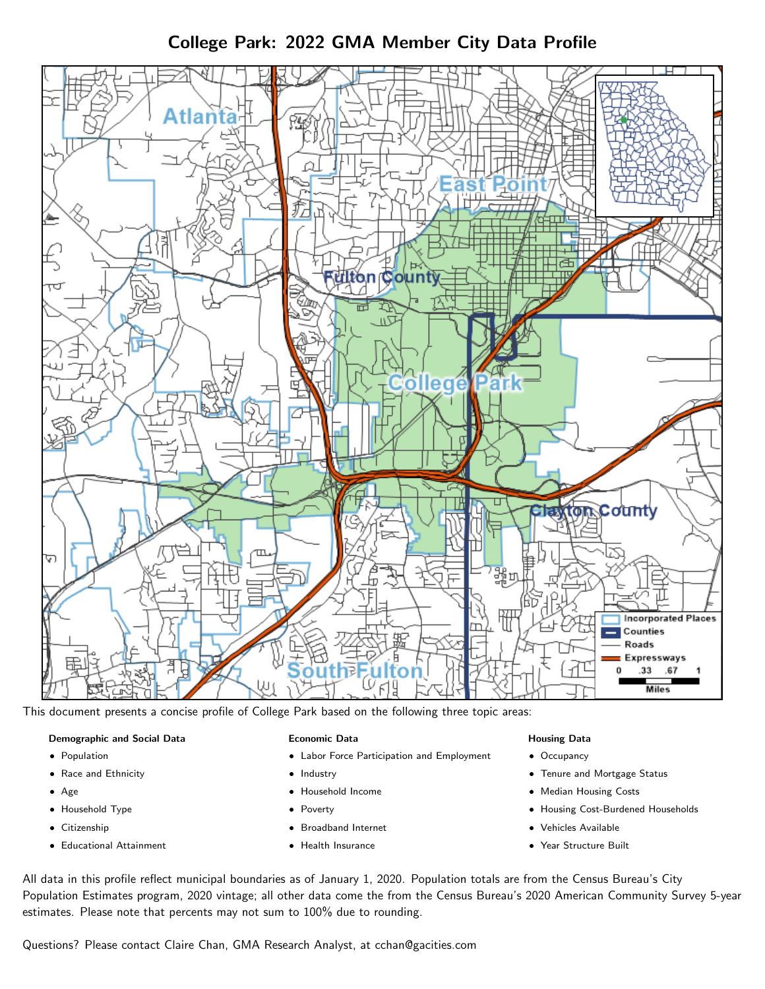# College Park: 2022 GMA Member City Data Profile



This document presents a concise profile of College Park based on the following three topic areas:

#### Demographic and Social Data

- **•** Population
- Race and Ethnicity
- Age
- Household Type
- **Citizenship**
- Educational Attainment

#### Economic Data

- Labor Force Participation and Employment
- Industry
- Household Income
- Poverty
- Broadband Internet
- Health Insurance

#### Housing Data

- Occupancy
- Tenure and Mortgage Status
- Median Housing Costs
- Housing Cost-Burdened Households
- Vehicles Available
- Year Structure Built

All data in this profile reflect municipal boundaries as of January 1, 2020. Population totals are from the Census Bureau's City Population Estimates program, 2020 vintage; all other data come the from the Census Bureau's 2020 American Community Survey 5-year estimates. Please note that percents may not sum to 100% due to rounding.

Questions? Please contact Claire Chan, GMA Research Analyst, at [cchan@gacities.com.](mailto:cchan@gacities.com)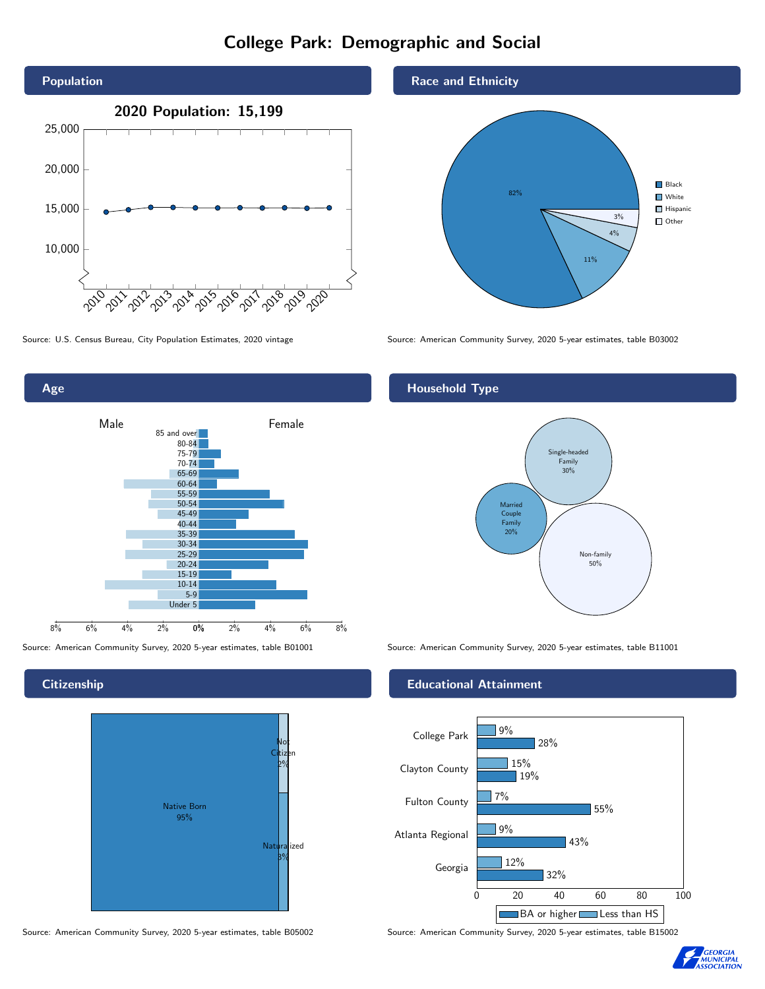# College Park: Demographic and Social





**Citizenship** 



Source: American Community Survey, 2020 5-year estimates, table B05002 Source: American Community Survey, 2020 5-year estimates, table B15002



Source: U.S. Census Bureau, City Population Estimates, 2020 vintage Source: American Community Survey, 2020 5-year estimates, table B03002

## Household Type



Source: American Community Survey, 2020 5-year estimates, table B01001 Source: American Community Survey, 2020 5-year estimates, table B11001

### Educational Attainment



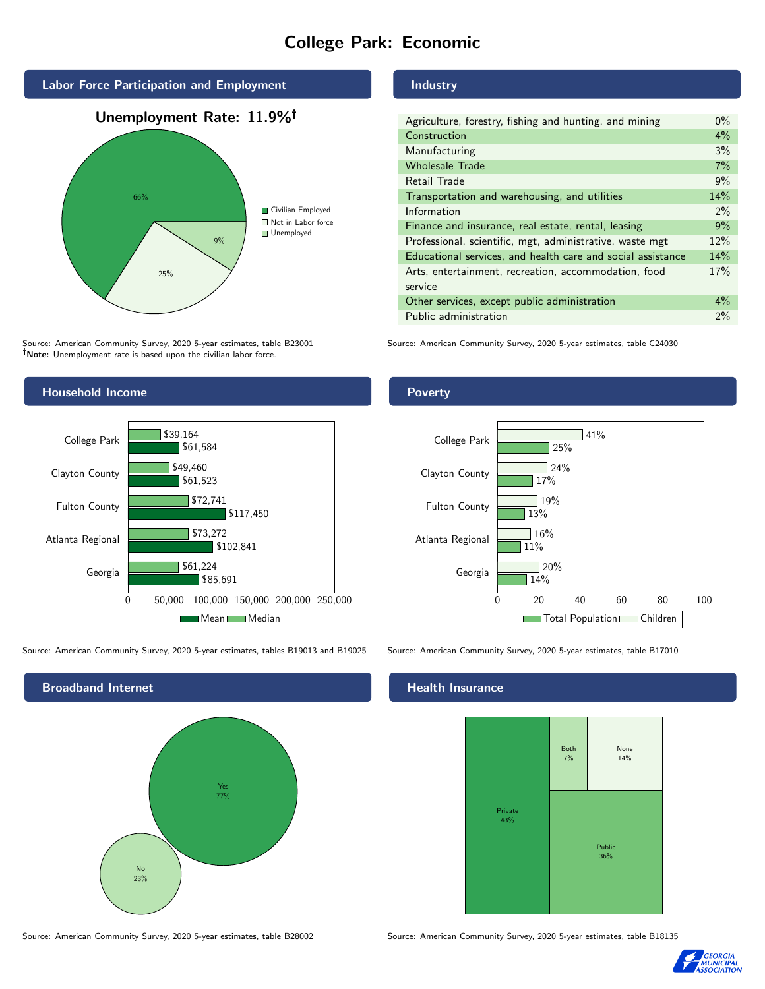# College Park: Economic



Source: American Community Survey, 2020 5-year estimates, table B23001 Note: Unemployment rate is based upon the civilian labor force.

#### Industry

| Agriculture, forestry, fishing and hunting, and mining      | $0\%$ |
|-------------------------------------------------------------|-------|
| Construction                                                | 4%    |
| Manufacturing                                               | 3%    |
| <b>Wholesale Trade</b>                                      | 7%    |
| Retail Trade                                                | 9%    |
| Transportation and warehousing, and utilities               | 14%   |
| Information                                                 | $2\%$ |
| Finance and insurance, real estate, rental, leasing         | 9%    |
| Professional, scientific, mgt, administrative, waste mgt    | 12%   |
| Educational services, and health care and social assistance | 14%   |
| Arts, entertainment, recreation, accommodation, food        | 17%   |
| service                                                     |       |
| Other services, except public administration                | $4\%$ |
| Public administration                                       | 2%    |
|                                                             |       |

Source: American Community Survey, 2020 5-year estimates, table C24030



Source: American Community Survey, 2020 5-year estimates, tables B19013 and B19025 Source: American Community Survey, 2020 5-year estimates, table B17010

Broadband Internet No 23% Yes 77%

#### Health Insurance



Source: American Community Survey, 2020 5-year estimates, table B28002 Source: American Community Survey, 2020 5-year estimates, table B18135